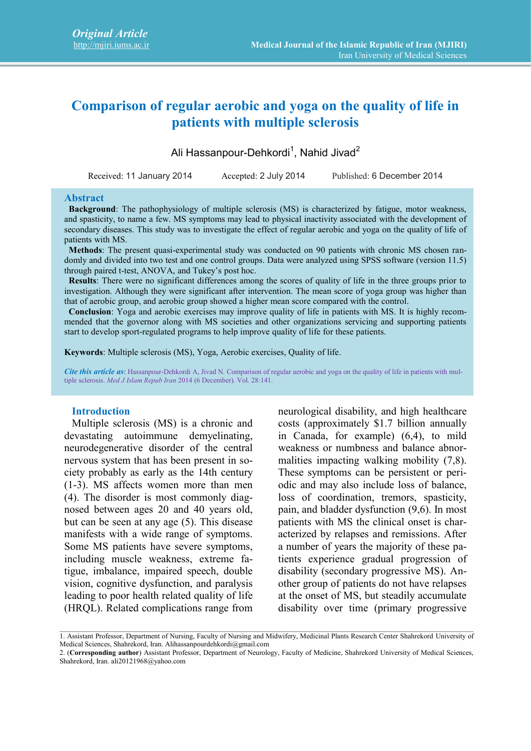# **Comparison of regular aerobic and yoga on the quality of life in patients with multiple sclerosis**

Ali Hassanpour-Dehkordi<sup>1</sup>, Nahid Jivad<sup>2</sup>

Received: 11 January 2014 Accepted: 2 July 2014 Published: 6 December 2014

#### **Abstract**

**Background**: The pathophysiology of multiple sclerosis (MS) is characterized by fatigue, motor weakness, and spasticity, to name a few. MS symptoms may lead to physical inactivity associated with the development of secondary diseases. This study was to investigate the effect of regular aerobic and yoga on the quality of life of patients with MS.

**Methods**: The present quasi-experimental study was conducted on 90 patients with chronic MS chosen randomly and divided into two test and one control groups. Data were analyzed using SPSS software (version 11.5) through paired t-test, ANOVA, and Tukey's post hoc.

**Results**: There were no significant differences among the scores of quality of life in the three groups prior to investigation. Although they were significant after intervention. The mean score of yoga group was higher than that of aerobic group, and aerobic group showed a higher mean score compared with the control.

**Conclusion**: Yoga and aerobic exercises may improve quality of life in patients with MS. It is highly recommended that the governor along with MS societies and other organizations servicing and supporting patients start to develop sport-regulated programs to help improve quality of life for these patients.

**Keywords**: Multiple sclerosis (MS), Yoga, Aerobic exercises, Quality of life.

*Cite this article as*: Hassanpour-Dehkordi A, Jivad N. Comparison of regular aerobic and yoga on the quality of life in patients with multiple sclerosis. *Med J Islam Repub Iran* 2014 (6 December). Vol. 28:141.

#### **Introduction**

Multiple sclerosis (MS) is a chronic and devastating autoimmune demyelinating, neurodegenerative disorder of the central nervous system that has been present in society probably as early as the 14th century (1-3). MS affects women more than men (4). The disorder is most commonly diagnosed between ages 20 and 40 years old, but can be seen at any age (5). This disease manifests with a wide range of symptoms. Some MS patients have severe symptoms, including muscle weakness, extreme fatigue, imbalance, impaired speech, double vision, cognitive dysfunction, and paralysis leading to poor health related quality of life (HRQL). Related complications range from neurological disability, and high healthcare costs (approximately \$1.7 billion annually in Canada, for example) (6,4), to mild weakness or numbness and balance abnormalities impacting walking mobility (7,8). These symptoms can be persistent or periodic and may also include loss of balance, loss of coordination, tremors, spasticity, pain, and bladder dysfunction (9,6). In most patients with MS the clinical onset is characterized by relapses and remissions. After a number of years the majority of these patients experience gradual progression of disability (secondary progressive MS). Another group of patients do not have relapses at the onset of MS, but steadily accumulate disability over time (primary progressive

<sup>1.</sup> Assistant Professor, Department of Nursing, Faculty of Nursing and Midwifery, Medicinal Plants Research Center Shahrekord University of Medical Sciences, Shahrekord, Iran. Alihassanpourdehkordi@gmail.com

<sup>2. (</sup>**Corresponding author**) Assistant Professor, Department of Neurology, Faculty of Medicine, Shahrekord University of Medical Sciences, Shahrekord, Iran. ali20121968@yahoo.com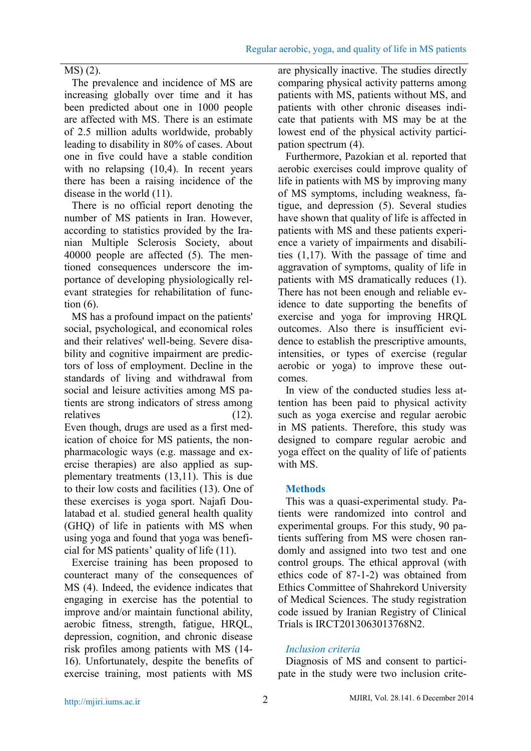# MS) (2).

The prevalence and incidence of MS are increasing globally over time and it has been predicted about one in 1000 people are affected with MS. There is an estimate of 2.5 million adults worldwide, probably leading to disability in 80% of cases. About one in five could have a stable condition with no relapsing  $(10,4)$ . In recent years there has been a raising incidence of the disease in the world (11).

There is no official report denoting the number of MS patients in Iran. However, according to statistics provided by the Iranian Multiple Sclerosis Society, about 40000 people are affected (5). The mentioned consequences underscore the importance of developing physiologically relevant strategies for rehabilitation of function (6).

MS has a profound impact on the patients' social, psychological, and economical roles and their relatives' well-being. Severe disability and cognitive impairment are predictors of loss of employment. Decline in the standards of living and withdrawal from social and leisure activities among MS patients are strong indicators of stress among relatives (12). Even though, drugs are used as a first medication of choice for MS patients, the nonpharmacologic ways (e.g. massage and exercise therapies) are also applied as supplementary treatments (13,11). This is due to their low costs and facilities (13). One of these exercises is yoga sport. Najafi Doulatabad et al. studied general health quality (GHQ) of life in patients with MS when using yoga and found that yoga was benefi-

cial for MS patients' quality of life (11). Exercise training has been proposed to counteract many of the consequences of MS (4). Indeed, the evidence indicates that engaging in exercise has the potential to improve and/or maintain functional ability, aerobic fitness, strength, fatigue, HRQL, depression, cognition, and chronic disease risk profiles among patients with MS (14- 16). Unfortunately, despite the benefits of exercise training, most patients with MS are physically inactive. The studies directly comparing physical activity patterns among patients with MS, patients without MS, and patients with other chronic diseases indicate that patients with MS may be at the lowest end of the physical activity participation spectrum (4).

Furthermore, Pazokian et al. reported that aerobic exercises could improve quality of life in patients with MS by improving many of MS symptoms, including weakness, fatigue, and depression (5). Several studies have shown that quality of life is affected in patients with MS and these patients experience a variety of impairments and disabilities (1,17). With the passage of time and aggravation of symptoms, quality of life in patients with MS dramatically reduces (1). There has not been enough and reliable evidence to date supporting the benefits of exercise and yoga for improving HRQL outcomes. Also there is insufficient evidence to establish the prescriptive amounts, intensities, or types of exercise (regular aerobic or yoga) to improve these outcomes.

In view of the conducted studies less attention has been paid to physical activity such as yoga exercise and regular aerobic in MS patients. Therefore, this study was designed to compare regular aerobic and yoga effect on the quality of life of patients with MS

# **Methods**

This was a quasi-experimental study. Patients were randomized into control and experimental groups. For this study, 90 patients suffering from MS were chosen randomly and assigned into two test and one control groups. The ethical approval (with ethics code of 87-1-2) was obtained from Ethics Committee of Shahrekord University of Medical Sciences. The study registration code issued by Iranian Registry of Clinical Trials is IRCT2013063013768N2.

# *Inclusion criteria*

Diagnosis of MS and consent to participate in the study were two inclusion crite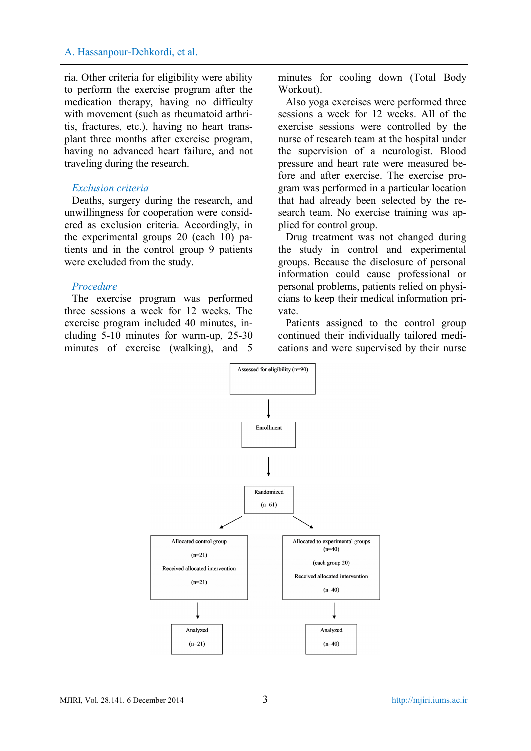ria. Other criteria for eligibility were ability to perform the exercise program after the medication therapy, having no difficulty with movement (such as rheumatoid arthritis, fractures, etc.), having no heart transplant three months after exercise program, having no advanced heart failure, and not traveling during the research.

#### *Exclusion criteria*

Deaths, surgery during the research, and unwillingness for cooperation were considered as exclusion criteria. Accordingly, in the experimental groups 20 (each 10) patients and in the control group 9 patients were excluded from the study.

### *Procedure*

The exercise program was performed three sessions a week for 12 weeks. The exercise program included 40 minutes, including 5-10 minutes for warm-up, 25-30 minutes of exercise (walking), and 5

minutes for cooling down (Total Body Workout).

Also yoga exercises were performed three sessions a week for 12 weeks. All of the exercise sessions were controlled by the nurse of research team at the hospital under the supervision of a neurologist. Blood pressure and heart rate were measured before and after exercise. The exercise program was performed in a particular location that had already been selected by the research team. No exercise training was applied for control group.

Drug treatment was not changed during the study in control and experimental groups. Because the disclosure of personal information could cause professional or personal problems, patients relied on physicians to keep their medical information private.

Patients assigned to the control group continued their individually tailored medications and were supervised by their nurse

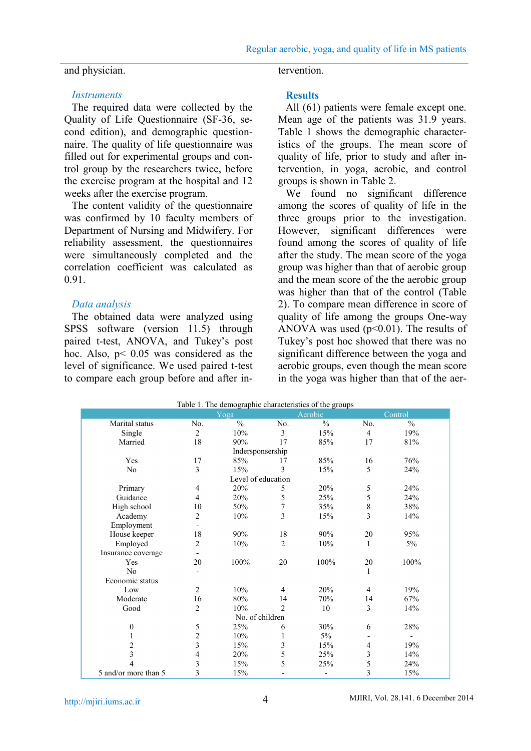#### and physician.

# tervention.

#### *Instruments*

The required data were collected by the Quality of Life Questionnaire (SF-36, second edition), and demographic questionnaire. The quality of life questionnaire was filled out for experimental groups and control group by the researchers twice, before the exercise program at the hospital and 12 weeks after the exercise program.

The content validity of the questionnaire was confirmed by 10 faculty members of Department of Nursing and Midwifery. For reliability assessment, the questionnaires were simultaneously completed and the correlation coefficient was calculated as 0.91.

### *Data analysis*

The obtained data were analyzed using SPSS software (version 11.5) through paired t-test, ANOVA, and Tukey's post hoc. Also,  $p$ < 0.05 was considered as the level of significance. We used paired t-test to compare each group before and after in-

### **Results**

All (61) patients were female except one. Mean age of the patients was 31.9 years. Table 1 shows the demographic characteristics of the groups. The mean score of quality of life, prior to study and after intervention, in yoga, aerobic, and control groups is shown in Table 2.

We found no significant difference among the scores of quality of life in the three groups prior to the investigation. However, significant differences were found among the scores of quality of life after the study. The mean score of the yoga group was higher than that of aerobic group and the mean score of the the aerobic group was higher than that of the control (Table 2). To compare mean difference in score of quality of life among the groups One-way ANOVA was used  $(p<0.01)$ . The results of Tukey's post hoc showed that there was no significant difference between the yoga and aerobic groups, even though the mean score in the yoga was higher than that of the aer-

|                         |                | Table 1. The demographic characteristics of the groups |                |                          |                |                          |  |
|-------------------------|----------------|--------------------------------------------------------|----------------|--------------------------|----------------|--------------------------|--|
|                         |                | Yoga                                                   |                | Aerobic                  |                | Control                  |  |
| Marital status          | No.            | $\frac{0}{0}$                                          | No.            | $\frac{0}{0}$            | No.            | $\frac{0}{0}$            |  |
| Single                  | $\overline{c}$ | 10%                                                    | 3              | 15%                      | $\overline{4}$ | 19%                      |  |
| Married                 | 18             | 90%                                                    | 17             | 85%                      | 17             | 81%                      |  |
|                         |                | Indersponsership                                       |                |                          |                |                          |  |
| Yes                     | 17             | 85%                                                    | 17             | 85%                      | 16             | 76%                      |  |
| No                      | 3              | 15%                                                    | 3              | 15%                      | 5              | 24%                      |  |
|                         |                | Level of education                                     |                |                          |                |                          |  |
| Primary                 | 4              | 20%                                                    | 5              | 20%                      | 5              | 24%                      |  |
| Guidance                | $\overline{4}$ | 20%                                                    | 5              | 25%                      | 5              | 24%                      |  |
| High school             | 10             | 50%                                                    | $\sqrt{ }$     | 35%                      | $\,$ $\,$      | 38%                      |  |
| Academy                 | $\overline{c}$ | 10%                                                    | 3              | 15%                      | 3              | 14%                      |  |
| Employment              |                |                                                        |                |                          |                |                          |  |
| House keeper            | 18             | 90%                                                    | 18             | 90%                      | 20             | 95%                      |  |
| Employed                | $\overline{c}$ | 10%                                                    | $\overline{2}$ | 10%                      | $\mathbf{1}$   | 5%                       |  |
| Insurance coverage      |                |                                                        |                |                          |                |                          |  |
| Yes                     | 20             | 100%                                                   | 20             | 100%                     | 20             | 100%                     |  |
| N <sub>0</sub>          |                |                                                        |                |                          | $\mathbf{1}$   |                          |  |
| Economic status         |                |                                                        |                |                          |                |                          |  |
| Low                     | $\overline{2}$ | 10%                                                    | $\overline{4}$ | 20%                      | $\overline{4}$ | 19%                      |  |
| Moderate                | 16             | 80%                                                    | 14             | 70%                      | 14             | 67%                      |  |
| Good                    | $\overline{2}$ | 10%                                                    | $\mathfrak{D}$ | 10                       | 3              | 14%                      |  |
|                         |                | No. of children                                        |                |                          |                |                          |  |
| $\theta$                | 5              | 25%                                                    | 6              | 30%                      | 6              | 28%                      |  |
| 1                       | $\overline{c}$ | 10%                                                    | 1              | 5%                       |                | $\overline{\phantom{a}}$ |  |
| $\overline{c}$          | 3              | 15%                                                    | 3              | 15%                      | 4              | 19%                      |  |
| $\overline{\mathbf{3}}$ | 4              | 20%                                                    | 5              | 25%                      | 3              | 14%                      |  |
| 4                       | 3              | 15%                                                    | 5              | 25%                      | 5              | 24%                      |  |
| 5 and/or more than 5    | 3              | 15%                                                    |                | $\overline{\phantom{a}}$ | 3              | 15%                      |  |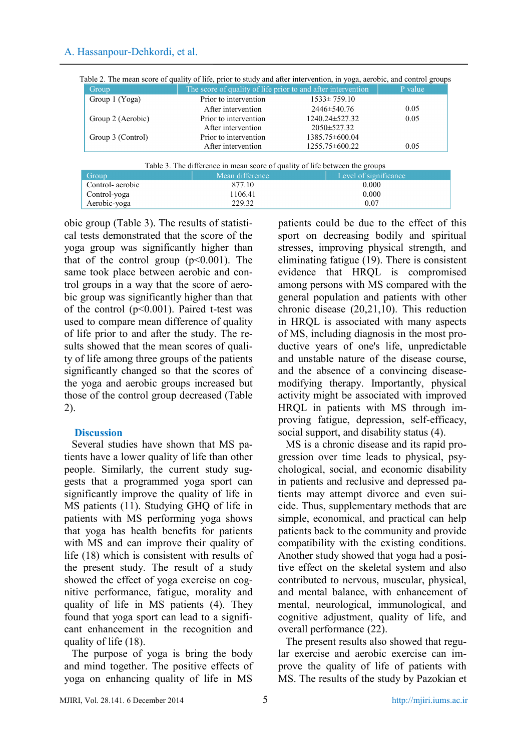| Group             | The score of quality of life prior to and after intervention |                     | P value |
|-------------------|--------------------------------------------------------------|---------------------|---------|
| Group 1 (Yoga)    | Prior to intervention                                        | $1533 \pm 759.10$   |         |
|                   | After intervention                                           | $2446 \pm 540.76$   | 0.05    |
| Group 2 (Aerobic) | Prior to intervention                                        | 1240.24±527.32      | 0.05    |
|                   | After intervention                                           | $2050 \pm 527.32$   |         |
| Group 3 (Control) | Prior to intervention                                        | $1385.75\pm 600.04$ |         |
|                   | After intervention                                           | $1255.75\pm 600.22$ | 0.05    |

Table 2. The mean score of quality of life, prior to study and after intervention, in yoga, aerobic, and control groups

| Table 3. The difference in mean score of quality of life between the groups |                 |                       |  |  |  |  |
|-----------------------------------------------------------------------------|-----------------|-----------------------|--|--|--|--|
| Group                                                                       | Mean difference | Level of significance |  |  |  |  |
| Control-aerobic                                                             | 877.10          | 0.000                 |  |  |  |  |
| Control-yoga                                                                | 1106.41         | 0.000                 |  |  |  |  |
| Aerobic-yoga                                                                | 229.32          | 0.07                  |  |  |  |  |

obic group (Table 3). The results of statistical tests demonstrated that the score of the yoga group was significantly higher than that of the control group  $(p<0.001)$ . The same took place between aerobic and control groups in a way that the score of aerobic group was significantly higher than that of the control  $(p<0.001)$ . Paired t-test was used to compare mean difference of quality of life prior to and after the study. The results showed that the mean scores of quality of life among three groups of the patients significantly changed so that the scores of the yoga and aerobic groups increased but those of the control group decreased (Table 2).

# **Discussion**

Several studies have shown that MS patients have a lower quality of life than other people. Similarly, the current study suggests that a programmed yoga sport can significantly improve the quality of life in MS patients (11). Studying GHQ of life in patients with MS performing yoga shows that yoga has health benefits for patients with MS and can improve their quality of life (18) which is consistent with results of the present study. The result of a study showed the effect of yoga exercise on cognitive performance, fatigue, morality and quality of life in MS patients (4). They found that yoga sport can lead to a significant enhancement in the recognition and quality of life (18).

The purpose of yoga is bring the body and mind together. The positive effects of yoga on enhancing quality of life in MS

patients could be due to the effect of this sport on decreasing bodily and spiritual stresses, improving physical strength, and eliminating fatigue (19). There is consistent evidence that HRQL is compromised among persons with MS compared with the general population and patients with other chronic disease (20,21,10). This reduction in HRQL is associated with many aspects of MS, including diagnosis in the most productive years of one's life, unpredictable and unstable nature of the disease course and the absence of a convincing disease modifying therapy. Importantly, physical activity might be associated with improved HRQL in patients with MS through improving fatigue, depression, self-efficacy, social support, and disability status (4).

MS is a chronic disease and its rapid progression over time leads to physical, psychological, social, and economic disability in patients and reclusive and depressed patients may attempt divorce and even suicide. Thus, supplementary methods that are simple, economical, and practical can help patients back to the community and provide compatibility with the existing conditions. Another study showed that yoga had a positive effect on the skeletal system and also contributed to nervous, muscular, physical, and mental balance, with enhancement of mental, neurological, immunological, and cognitive adjustment, quality of life, and overall performance (22).

The present results also showed that regular exercise and aerobic exercise can improve the quality of life of patients with MS. The results of the study by Pazokian et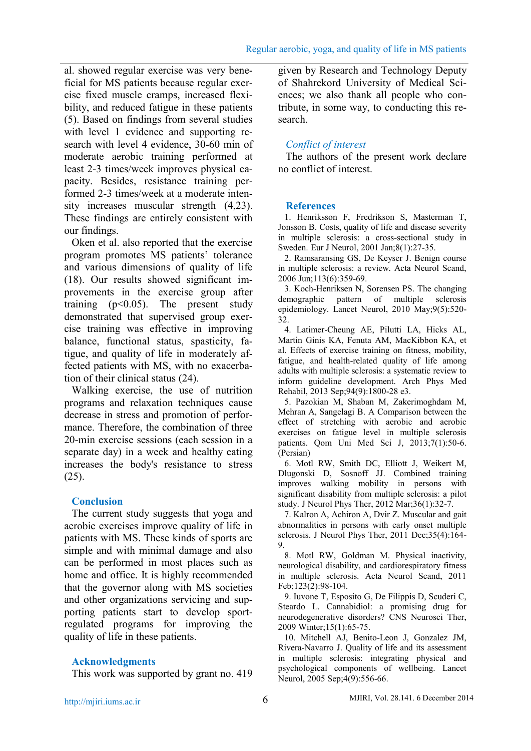al. showed regular exercise was very beneficial for MS patients because regular exercise fixed muscle cramps, increased flexibility, and reduced fatigue in these patients (5). Based on findings from several studies with level 1 evidence and supporting research with level 4 evidence, 30-60 min of moderate aerobic training performed at least 2-3 times/week improves physical capacity. Besides, resistance training performed 2-3 times/week at a moderate intensity increases muscular strength (4,23). These findings are entirely consistent with our findings.

Oken et al. also reported that the exercise program promotes MS patients' tolerance and various dimensions of quality of life (18). Our results showed significant improvements in the exercise group after training  $(p<0.05)$ . The present study demonstrated that supervised group exercise training was effective in improving balance, functional status, spasticity, fatigue, and quality of life in moderately affected patients with MS, with no exacerbation of their clinical status (24).

Walking exercise, the use of nutrition programs and relaxation techniques cause decrease in stress and promotion of performance. Therefore, the combination of three 20-min exercise sessions (each session in a separate day) in a week and healthy eating increases the body's resistance to stress (25).

# **Conclusion**

The current study suggests that yoga and aerobic exercises improve quality of life in patients with MS. These kinds of sports are simple and with minimal damage and also can be performed in most places such as home and office. It is highly recommended that the governor along with MS societies and other organizations servicing and supporting patients start to develop sportregulated programs for improving the quality of life in these patients.

# **Acknowledgments**

This work was supported by grant no. 419

given by Research and Technology Deputy of Shahrekord University of Medical Sciences; we also thank all people who contribute, in some way, to conducting this research.

# *Conflict of interest*

The authors of the present work declare no conflict of interest.

# **References**

1. Henriksson F, Fredrikson S, Masterman T, Jonsson B. Costs, quality of life and disease severity in multiple sclerosis: a cross-sectional study in Sweden. Eur J Neurol, 2001 Jan;8(1):27-35.

2. Ramsaransing GS, De Keyser J. Benign course in multiple sclerosis: a review. Acta Neurol Scand, 2006 Jun;113(6):359-69.

3. Koch-Henriksen N, Sorensen PS. The changing demographic pattern of multiple sclerosis epidemiology. Lancet Neurol, 2010 May;9(5):520- 32.

4. Latimer-Cheung AE, Pilutti LA, Hicks AL, Martin Ginis KA, Fenuta AM, MacKibbon KA, et al. Effects of exercise training on fitness, mobility, fatigue, and health-related quality of life among adults with multiple sclerosis: a systematic review to inform guideline development. Arch Phys Med Rehabil, 2013 Sep;94(9):1800-28 e3.

5. Pazokian M, Shaban M, Zakerimoghdam M, Mehran A, Sangelagi B. A Comparison between the effect of stretching with aerobic and aerobic exercises on fatigue level in multiple sclerosis patients. Qom Uni Med Sci J, 2013;7(1):50-6. (Persian)

6. Motl RW, Smith DC, Elliott J, Weikert M, Dlugonski D, Sosnoff JJ. Combined training improves walking mobility in persons with significant disability from multiple sclerosis: a pilot study. J Neurol Phys Ther, 2012 Mar;36(1):32-7.

7. Kalron A, Achiron A, Dvir Z. Muscular and gait abnormalities in persons with early onset multiple sclerosis. J Neurol Phys Ther, 2011 Dec; 35(4): 164-9.

8. Motl RW, Goldman M. Physical inactivity, neurological disability, and cardiorespiratory fitness in multiple sclerosis. Acta Neurol Scand, 2011 Feb;123(2):98-104.

9. Iuvone T, Esposito G, De Filippis D, Scuderi C, Steardo L. Cannabidiol: a promising drug for neurodegenerative disorders? CNS Neurosci Ther, 2009 Winter;15(1):65-75.

10. Mitchell AJ, Benito-Leon J, Gonzalez JM, Rivera-Navarro J. Quality of life and its assessment in multiple sclerosis: integrating physical and psychological components of wellbeing. Lancet Neurol, 2005 Sep;4(9):556-66.